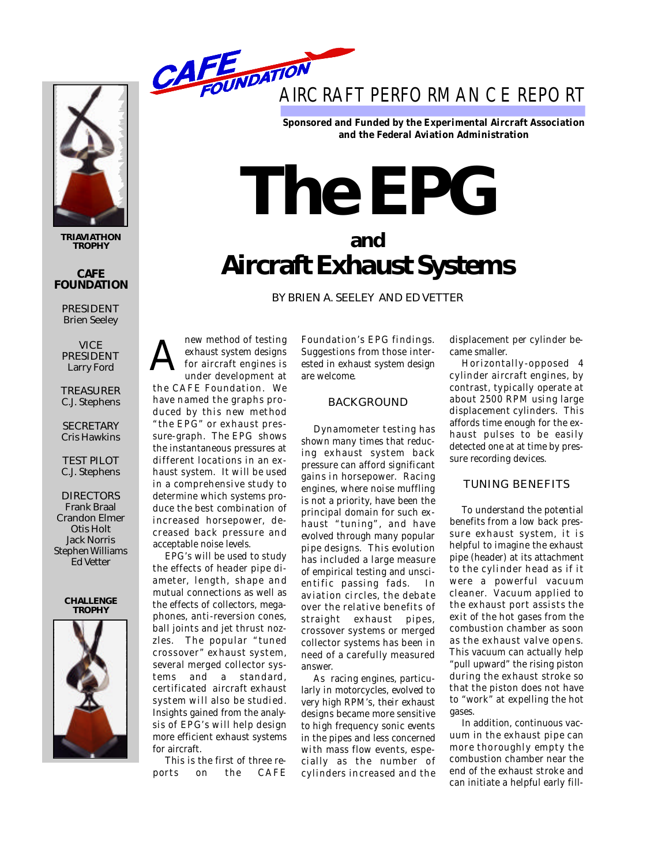

**TRIAVIATHON TROPHY**

#### **CAFE FOUNDATION**

PRESIDENT Brien Seeley

**VICE** PRESIDENT Larry Ford

**TREASURER** 

C.J. Stephens

**SECRETARY** Cris Hawkins

TEST PILOT C.J. Stephens

**DIRECTORS** Frank Braal Crandon Elmer Otis Holt Jack Norris Stephen Williams Ed Vetter





**Sponsored and Funded by the Experimental Aircraft Association** and the Federal Aviation Administration

# **The EPG**

# **a n d Aircraft Exhaust Systems**

BY BRIEN A. SEELEY AND ED VETTER

new method of testing exhaust system designs for aircraft engines is under development at the CAFE Foundation. We have named the graphs pro-A

duced by this new method "the EPG" or exhaust pressure-graph. The EPG shows the instantaneous pressures at different locations in an exhaust system. It will be used in a comprehensive study to determine which systems produce the best combination of increased horsepower, decreased back pressure and acceptable noise levels.

EPG's will be used to study the effects of header pipe diameter, length, shape and mutual connections as well as the effects of collectors, megaphones, anti-reversion cones, ball joints and jet thrust nozzles. The popular "tuned crossover" exhaust system, several merged collector systems and a standard, certificated aircraft exhaust system will also be studied. Insights gained from the analysis of EPG's will help design more efficient exhaust systems for aircraft.

This is the first of three reports on the CAFE Foundation's EPG findings. Suggestions from those interested in exhaust system design are welcome.

# **BACKGROUND**

Dynamometer testing has shown many times that reducing exhaust system back pressure can afford significant gains in horsepower. Racing engines, where noise muffling is not a priority, have been the principal domain for such exhaust "tuning", and have evolved through many popular pipe designs. This evolution has included a large measure of empirical testing and unscientific passing fads. In aviation circles, the debate over the relative benefits of straight exhaust pipes, crossover systems or merged collector systems has been in need of a carefully measured answer.

As racing engines, particularly in motorcycles, evolved to very high RPM's, their exhaust designs became more sensitive to high frequency sonic events in the pipes and less concerned with mass flow events, especially as the number of cylinders increased and the displacement per cylinder became smaller.

Horizontally-opposed 4 cylinder aircraft engines, by contrast, typically operate at about 2500 RPM using large displacement cylinders. This affords time enough for the exhaust pulses to be easily detected one at at time by pressure recording devices.

# TUNING BENEFITS

To understand the potential benefits from a low back pressure exhaust system, it is helpful to imagine the exhaust pipe (header) at its attachment to the cylinder head as if it were a powerful vacuum cleaner. Vacuum applied to the exhaust port assists the exit of the hot gases from the combustion chamber as soon as the exhaust valve opens. This vacuum can actually help "pull upward" the rising piston during the exhaust stroke so that the piston does not have to "work" at expelling the hot gases.

In addition, continuous vacuum in the exhaust pipe can more thoroughly empty the combustion chamber near the end of the exhaust stroke and can initiate a helpful early fill-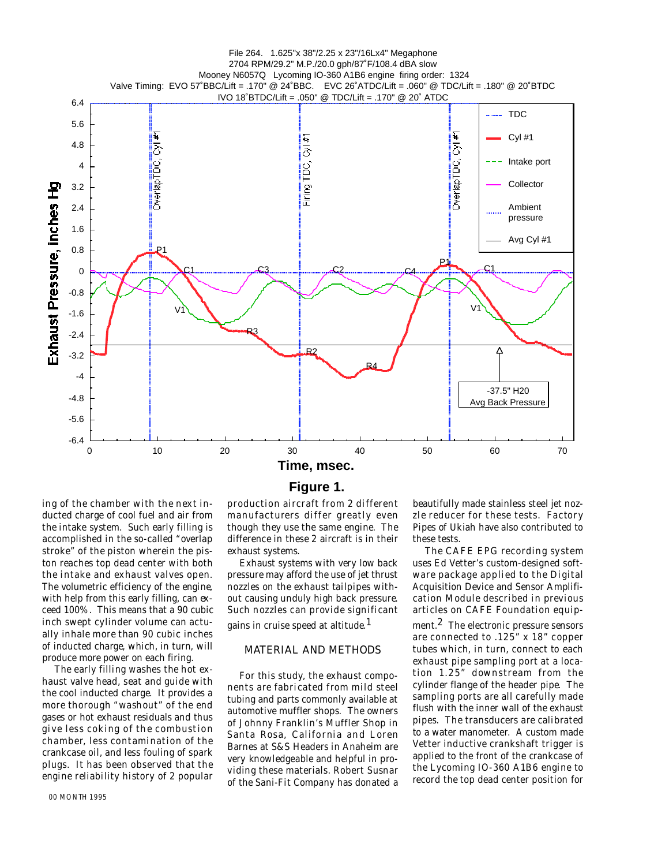

#### **Figure 1.**

ing of the chamber with the next inducted charge of cool fuel and air from the intake system. Such early filling is accomplished in the so-called "overlap stroke" of the piston wherein the piston reaches top dead center with both the intake and exhaust valves open. The volumetric efficiency of the engine, with help from this early filling, can exceed 100%. This means that a 90 cubic inch swept cylinder volume can actually inhale more than 90 cubic inches of inducted charge, which, in turn, will produce more power on each firing.

The early filling washes the hot exhaust valve head, seat and guide with the cool inducted charge. It provides a more thorough "washout" of the end gases or hot exhaust residuals and thus give less coking of the combustion chamber, less contamination of the crankcase oil, and less fouling of spark plugs. It has been observed that the engine reliability history of 2 popular production aircraft from 2 different manufacturers differ greatly even though they use the same engine. The difference in these 2 aircraft is in their exhaust systems. Exhaust systems with very low back

pressure may afford the use of jet thrust nozzles on the exhaust tailpipes without causing unduly high back pressure. Such nozzles can provide significant

gains in cruise speed at altitude.<sup>1</sup>

# MATERIAL AND METHODS

For this study, the exhaust components are fabricated from mild steel tubing and parts commonly available at automotive muffler shops. The owners of Johnny Franklin's Muffler Shop in Santa Rosa, California and Loren Barnes at S&S Headers in Anaheim are very knowledgeable and helpful in providing these materials. Robert Susnar of the Sani-Fit Company has donated a

beautifully made stainless steel jet nozzle reducer for these tests. Factory Pipes of Ukiah have also contributed to these tests.

The CAFE EPG recording system uses Ed Vetter's custom-designed software package applied to the Digital Acquisition Device and Sensor Amplification Module described in previous articles on CAFE Foundation equipment.<sup>2</sup> The electronic pressure sensors are connected to  $.125$ " x 18" copper tubes which, in turn, connect to each

exhaust pipe sampling port at a location 1.25" downstream from the cylinder flange of the header pipe. The sampling ports are all carefully made flush with the inner wall of the exhaust pipes. The transducers are calibrated to a water manometer. A custom made Vetter inductive crankshaft trigger is applied to the front of the crankcase of the Lycoming IO-360 A1B6 engine to record the top dead center position for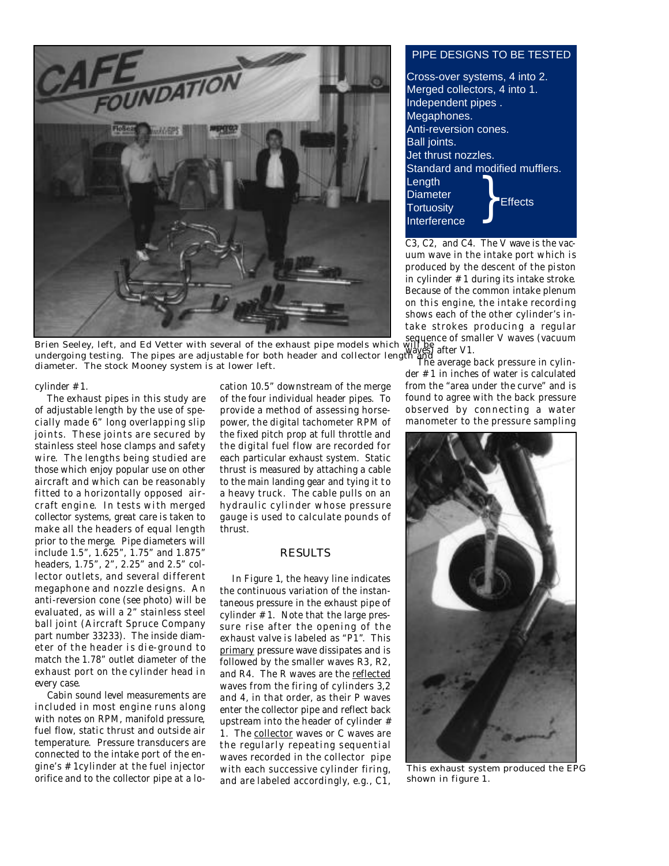

**Brien Seeley, left, and Ed Vetter with several of the exhaust pipe models which will be**  $_{\text{other M1}}$ undergoing testing. The pipes are adjustable for both header and collector length and diterments.<br>diameter. The stock Mooney system is at lower left diameter. The stock Mooney system is at lower left.

cylinder # 1.

The exhaust pipes in this study are of adjustable length by the use of specially made 6" long overlapping slip joints. These joints are secured by stainless steel hose clamps and safety wire. The lengths being studied are those which enjoy popular use on other aircraft and which can be reasonably fitted to a horizontally opposed aircraft engine. In tests with merged collector systems, great care is taken to make all the headers of equal length prior to the merge. Pipe diameters will include 1.5", 1.625", 1.75" and 1.875" headers, 1.75", 2", 2.25" and 2.5" collector outlets, and several different megaphone and nozzle designs. An anti-reversion cone (see photo) will be evaluated, as will a 2" stainless steel ball joint (Aircraft Spruce Company part number 33233). The inside diameter of the header is die-ground to match the 1.78" outlet diameter of the exhaust port on the cylinder head in every case.

Cabin sound level measurements are included in most engine runs along with notes on RPM, manifold pressure, fuel flow, static thrust and outside air temperature. Pressure transducers are connected to the intake port of the engine's  $#$  1cylinder at the fuel injector orifice and to the collector pipe at a lo-

cation 10.5" downstream of the merge of the four individual header pipes. To provide a method of assessing horsepower, the digital tachometer RPM of the fixed pitch prop at full throttle and the digital fuel flow are recorded for each particular exhaust system. Static thrust is measured by attaching a cable to the main landing gear and tying it to a heavy truck. The cable pulls on an hydraulic cylinder whose pressure gauge is used to calculate pounds of thrust.

## **RESULTS**

In Figure 1, the heavy line indicates the continuous variation of the instantaneous pressure in the exhaust pipe of cylinder  $# 1$ . Note that the large pressure rise after the opening of the exhaust valve is labeled as "P1". This primary pressure wave dissipates and is followed by the smaller waves R3, R2, and R4. The R waves are the reflected waves from the firing of cylinders 3,2 and 4, in that order, as their P waves enter the collector pipe and reflect back upstream into the header of cylinder  $#$ 1. The collector waves or C waves are the regularly repeating sequential waves recorded in the collector pipe with each successive cylinder firing, and are labeled accordingly, e.g., C1,

# PIPE DESIGNS TO BE TESTED

Cross-over systems, 4 into 2. Merged collectors, 4 into 1. Independent pipes . Megaphones. Anti-reversion cones. Ball joints. Jet thrust nozzles. Standard and modified mufflers. Length **Diameter Tortuositv Interference** } **Effects** 

C3, C2, and C4. The V wave is the vacuum wave in the intake port which is produced by the descent of the piston in cylinder  $# 1$  during its intake stroke. Because of the common intake plenum on this engine, the intake recording shows each of the other cylinder's intake strokes producing a regular waves) after V1.

der # 1 in inches of water is calculated from the "area under the curve" and is found to agree with the back pressure observed by connecting a water manometer to the pressure sampling



This exhaust system produced the EPG shown in figure 1.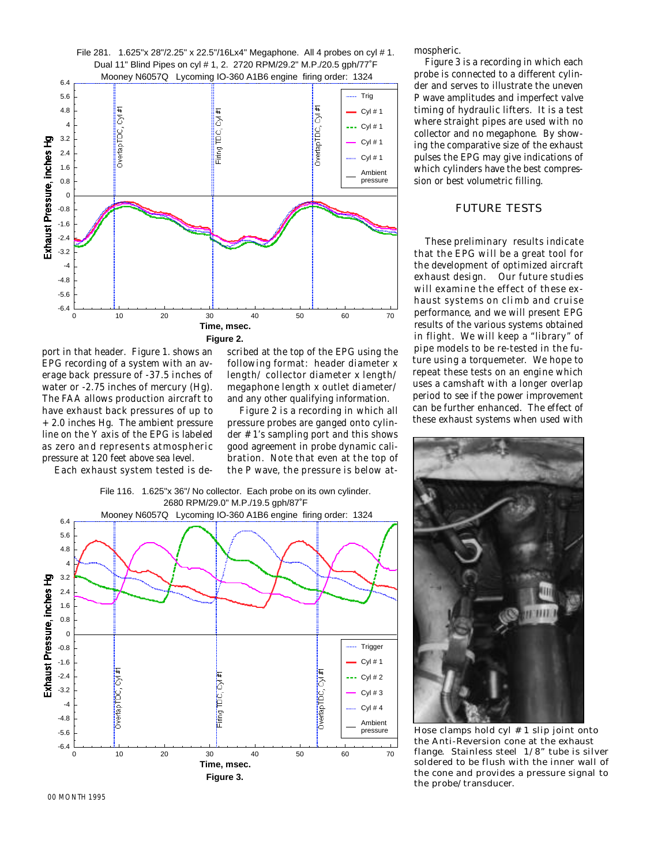

port in that header. Figure 1. shows an EPG recording of a system with an average back pressure of -37.5 inches of water or -2.75 inches of mercury (Hg). The FAA allows production aircraft to have exhaust back pressures of up to  $+2.0$  inches Hg. The ambient pressure line on the Y axis of the EPG is labeled as zero and represents atmospheric pressure at 120 feet above sea level.

Each exhaust system tested is de-

scribed at the top of the EPG using the following format: header diameter x length/ collector diameter x length/ megaphone length x outlet diameter/ and any other qualifying information.

Figure 2 is a recording in which all pressure probes are ganged onto cylinder # 1's sampling port and this shows good agreement in probe dynamic calibration. Note that even at the top of the P wave, the pressure is below at-



mospheric.

Figure 3 is a recording in which each probe is connected to a different cylinder and serves to illustrate the uneven P wave amplitudes and imperfect valve timing of hydraulic lifters. It is a test where straight pipes are used with no collector and no megaphone. By showing the comparative size of the exhaust pulses the EPG may give indications of which cylinders have the best compression or best volumetric filling.

#### FUTURE TESTS

These preliminary results indicate that the EPG will be a great tool for the development of optimized aircraft exhaust design. Our future studies will examine the effect of these exhaust systems on climb and cruise performance, and we will present EPG results of the various systems obtained in flight. We will keep a "library" of pipe models to be re-tested in the future using a torquemeter. We hope to repeat these tests on an engine which uses a camshaft with a longer overlap period to see if the power improvement can be further enhanced. The effect of these exhaust systems when used with



Hose clamps hold cyl # 1 slip joint onto the Anti-Reversion cone at the exhaust flange. Stainless steel 1/8" tube is silver soldered to be flush with the inner wall of the cone and provides a pressure signal to the probe/transducer.